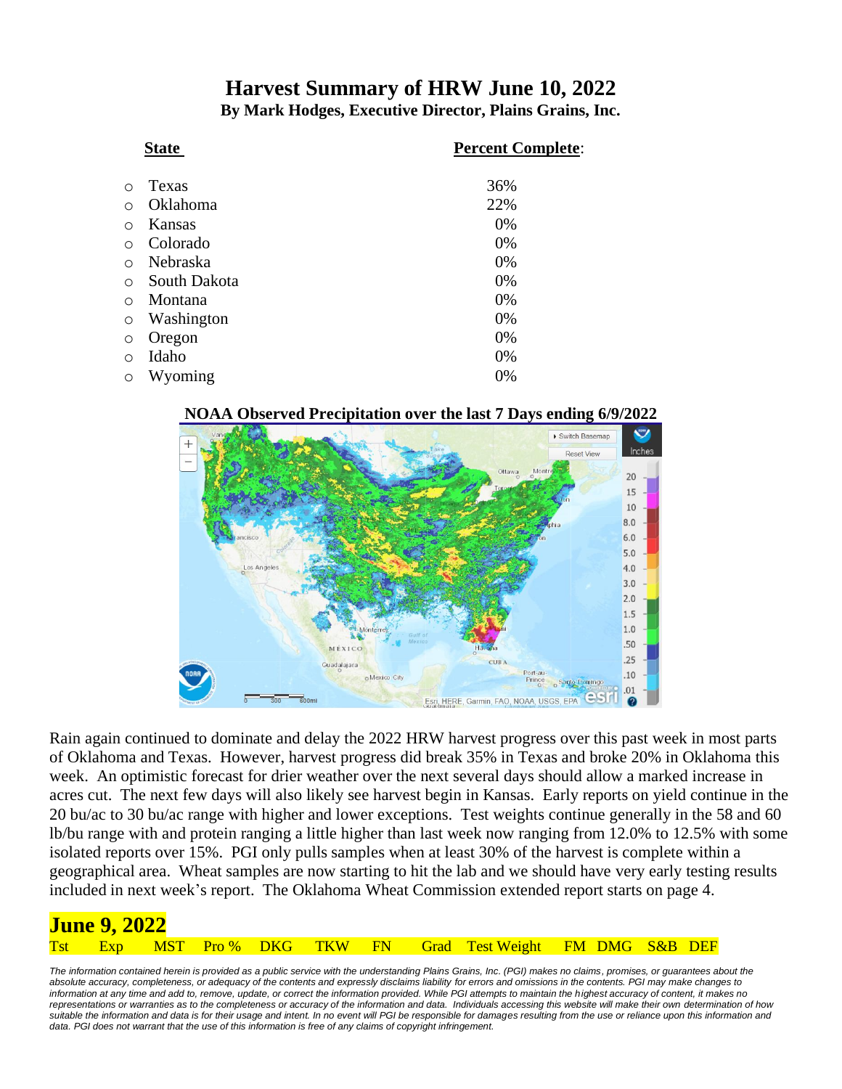## **Harvest Summary of HRW June 10, 2022**

**By Mark Hodges, Executive Director, Plains Grains, Inc.**

|            | <b>State</b> | <b>Percent Complete:</b> |
|------------|--------------|--------------------------|
| ∩          | Texas        | 36%                      |
| ∩          | Oklahoma     | 22%                      |
| $\circ$    | Kansas       | 0%                       |
| $\circ$    | Colorado     | 0%                       |
| $\bigcirc$ | Nebraska     | 0%                       |
| $\circ$    | South Dakota | 0%                       |
| $\bigcirc$ | Montana      | 0%                       |
| $\circ$    | Washington   | 0%                       |
| $\circ$    | Oregon       | 0%                       |
| $\circ$    | Idaho        | 0%                       |
| $\circ$    | Wyoming      | 0%                       |

#### $\mathbf{v}$ Switch Basemap  $\overline{+}$ Reset View Monte  $20$ 15 10  $8.0$  $6.0$ 5.0  $4.0$  $3.0$  $2.0$  $1.5$  $1.0$  $.50$ MÉXICO  $.25$  $.10$ oMexico City Prince o Santo Domingo  $.01$ Esri, HERE, Garmin, FAO, NOAA, USGS, EPA  $\boldsymbol{\Omega}$

**NOAA Observed Precipitation over the last 7 Days ending 6/9/2022**

Rain again continued to dominate and delay the 2022 HRW harvest progress over this past week in most parts of Oklahoma and Texas. However, harvest progress did break 35% in Texas and broke 20% in Oklahoma this week. An optimistic forecast for drier weather over the next several days should allow a marked increase in acres cut. The next few days will also likely see harvest begin in Kansas. Early reports on yield continue in the 20 bu/ac to 30 bu/ac range with higher and lower exceptions. Test weights continue generally in the 58 and 60 lb/bu range with and protein ranging a little higher than last week now ranging from 12.0% to 12.5% with some isolated reports over 15%. PGI only pulls samples when at least 30% of the harvest is complete within a geographical area. Wheat samples are now starting to hit the lab and we should have very early testing results included in next week's report. The Oklahoma Wheat Commission extended report starts on page 4.

| <b>June 9, 2022</b> |  |  |  |  |  |  |  |                                                             |  |  |  |  |  |
|---------------------|--|--|--|--|--|--|--|-------------------------------------------------------------|--|--|--|--|--|
|                     |  |  |  |  |  |  |  | Tst Exp MST Pro% DKG TKW FN Grad Test Weight FM DMG S&B DEF |  |  |  |  |  |

The information contained herein is provided as a public service with the understanding Plains Grains, Inc. (PGI) makes no claims, promises, or guarantees about the *absolute accuracy, completeness, or adequacy of the contents and expressly disclaims liability for errors and omissions in the contents. PGI may make changes to information at any time and add to, remove, update, or correct the information provided. While PGI attempts to maintain the highest accuracy of content, it makes no representations or warranties as to the completeness or accuracy of the information and data. Individuals accessing this website will make their own determination of how suitable the information and data is for their usage and intent. In no event will PGI be responsible for damages resulting from the use or reliance upon this information and*  data. PGI does not warrant that the use of this information is free of any claims of copyright infringement.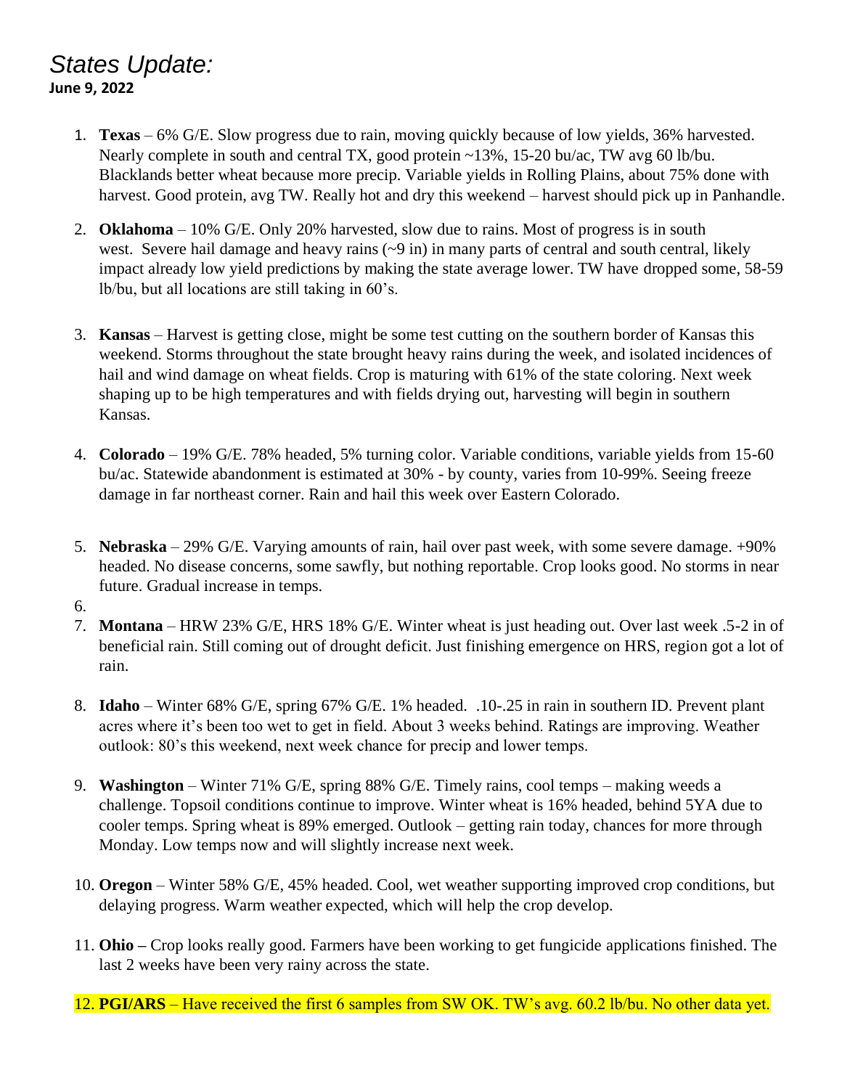### *States Update:* **June 9, 2022**

- 1. **Texas** 6% G/E. Slow progress due to rain, moving quickly because of low yields, 36% harvested. Nearly complete in south and central TX, good protein ~13%, 15-20 bu/ac, TW avg 60 lb/bu. Blacklands better wheat because more precip. Variable yields in Rolling Plains, about 75% done with harvest. Good protein, avg TW. Really hot and dry this weekend – harvest should pick up in Panhandle.
- 2. **Oklahoma** 10% G/E. Only 20% harvested, slow due to rains. Most of progress is in south west. Severe hail damage and heavy rains ( $\sim$ 9 in) in many parts of central and south central, likely impact already low yield predictions by making the state average lower. TW have dropped some, 58-59 lb/bu, but all locations are still taking in 60's.
- 3. **Kansas** Harvest is getting close, might be some test cutting on the southern border of Kansas this weekend. Storms throughout the state brought heavy rains during the week, and isolated incidences of hail and wind damage on wheat fields. Crop is maturing with 61% of the state coloring. Next week shaping up to be high temperatures and with fields drying out, harvesting will begin in southern Kansas.
- 4. **Colorado** 19% G/E. 78% headed, 5% turning color. Variable conditions, variable yields from 15-60 bu/ac. Statewide abandonment is estimated at 30% - by county, varies from 10-99%. Seeing freeze damage in far northeast corner. Rain and hail this week over Eastern Colorado.
- 5. **Nebraska** 29% G/E. Varying amounts of rain, hail over past week, with some severe damage. +90% headed. No disease concerns, some sawfly, but nothing reportable. Crop looks good. No storms in near future. Gradual increase in temps.
- 6.
- 7. **Montana** HRW 23% G/E, HRS 18% G/E. Winter wheat is just heading out. Over last week .5-2 in of beneficial rain. Still coming out of drought deficit. Just finishing emergence on HRS, region got a lot of rain.
- 8. **Idaho** Winter 68% G/E, spring 67% G/E. 1% headed. .10-.25 in rain in southern ID. Prevent plant acres where it's been too wet to get in field. About 3 weeks behind. Ratings are improving. Weather outlook: 80's this weekend, next week chance for precip and lower temps.
- 9. **Washington** Winter 71% G/E, spring 88% G/E. Timely rains, cool temps making weeds a challenge. Topsoil conditions continue to improve. Winter wheat is 16% headed, behind 5YA due to cooler temps. Spring wheat is 89% emerged. Outlook – getting rain today, chances for more through Monday. Low temps now and will slightly increase next week.
- 10. **Oregon** Winter 58% G/E, 45% headed. Cool, wet weather supporting improved crop conditions, but delaying progress. Warm weather expected, which will help the crop develop.
- 11. **Ohio –** Crop looks really good. Farmers have been working to get fungicide applications finished. The last 2 weeks have been very rainy across the state.
- 12. **PGI/ARS** Have received the first 6 samples from SW OK. TW's avg. 60.2 lb/bu. No other data yet.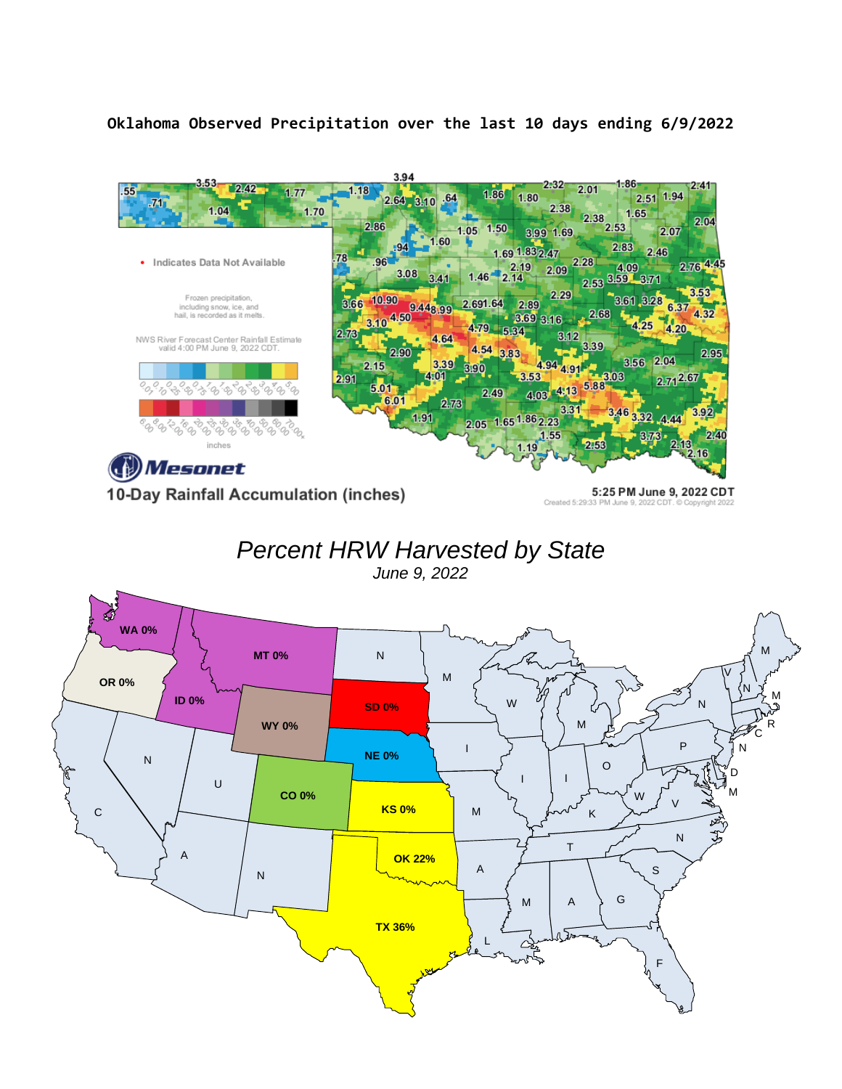### **Oklahoma Observed Precipitation over the last 10 days ending 6/9/2022**



10-Day Rainfall Accumulation (inches)

5:25 PM June 9, 2022 CDT Created 5:29:33 PM June 9, 2022 CDT.

# *Percent HRW Harvested by State*

*June 9, 2022*

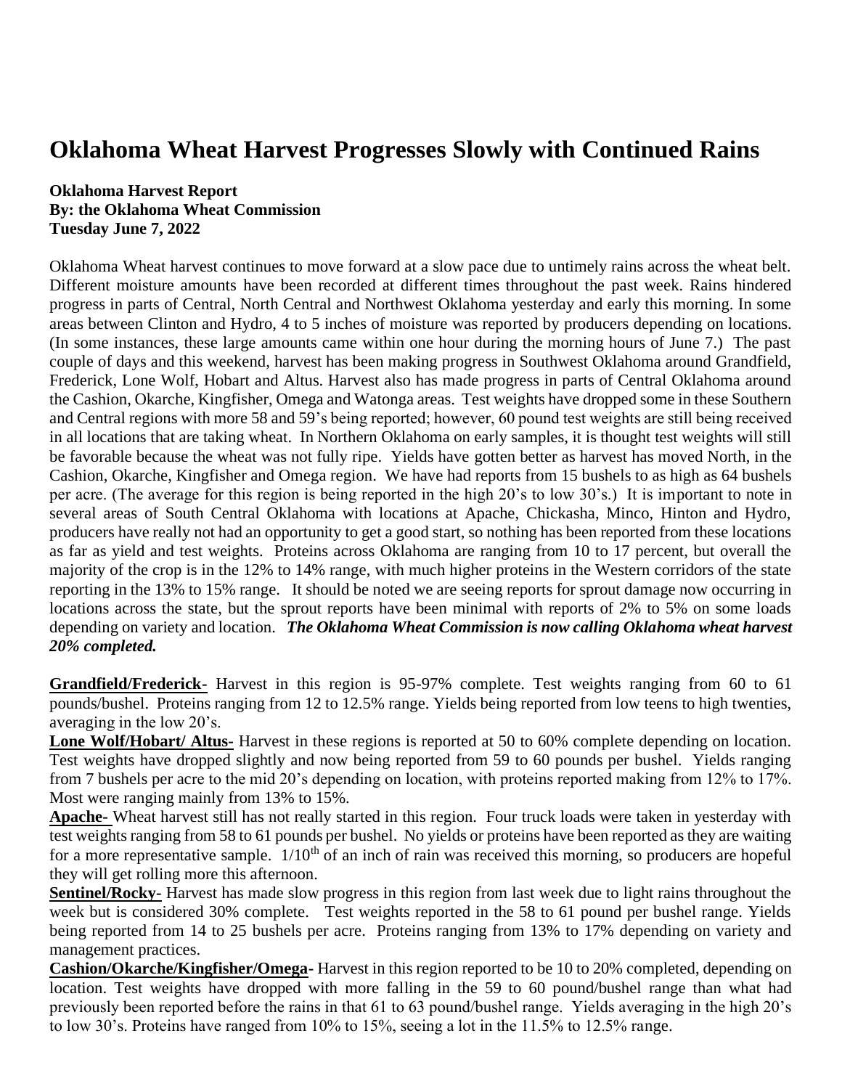## **Oklahoma Wheat Harvest Progresses Slowly with Continued Rains**

### **Oklahoma Harvest Report By: the Oklahoma Wheat Commission Tuesday June 7, 2022**

Oklahoma Wheat harvest continues to move forward at a slow pace due to untimely rains across the wheat belt. Different moisture amounts have been recorded at different times throughout the past week. Rains hindered progress in parts of Central, North Central and Northwest Oklahoma yesterday and early this morning. In some areas between Clinton and Hydro, 4 to 5 inches of moisture was reported by producers depending on locations. (In some instances, these large amounts came within one hour during the morning hours of June 7.) The past couple of days and this weekend, harvest has been making progress in Southwest Oklahoma around Grandfield, Frederick, Lone Wolf, Hobart and Altus. Harvest also has made progress in parts of Central Oklahoma around the Cashion, Okarche, Kingfisher, Omega and Watonga areas. Test weights have dropped some in these Southern and Central regions with more 58 and 59's being reported; however, 60 pound test weights are still being received in all locations that are taking wheat. In Northern Oklahoma on early samples, it is thought test weights will still be favorable because the wheat was not fully ripe. Yields have gotten better as harvest has moved North, in the Cashion, Okarche, Kingfisher and Omega region. We have had reports from 15 bushels to as high as 64 bushels per acre. (The average for this region is being reported in the high 20's to low 30's.) It is important to note in several areas of South Central Oklahoma with locations at Apache, Chickasha, Minco, Hinton and Hydro, producers have really not had an opportunity to get a good start, so nothing has been reported from these locations as far as yield and test weights. Proteins across Oklahoma are ranging from 10 to 17 percent, but overall the majority of the crop is in the 12% to 14% range, with much higher proteins in the Western corridors of the state reporting in the 13% to 15% range. It should be noted we are seeing reports for sprout damage now occurring in locations across the state, but the sprout reports have been minimal with reports of 2% to 5% on some loads depending on variety and location. *The Oklahoma Wheat Commission is now calling Oklahoma wheat harvest 20% completed.*

**Grandfield/Frederick-** Harvest in this region is 95-97% complete. Test weights ranging from 60 to 61 pounds/bushel. Proteins ranging from 12 to 12.5% range. Yields being reported from low teens to high twenties, averaging in the low 20's.

**Lone Wolf/Hobart/ Altus-** Harvest in these regions is reported at 50 to 60% complete depending on location. Test weights have dropped slightly and now being reported from 59 to 60 pounds per bushel. Yields ranging from 7 bushels per acre to the mid 20's depending on location, with proteins reported making from 12% to 17%. Most were ranging mainly from 13% to 15%.

**Apache-** Wheat harvest still has not really started in this region. Four truck loads were taken in yesterday with test weights ranging from 58 to 61 pounds per bushel. No yields or proteins have been reported as they are waiting for a more representative sample.  $1/10<sup>th</sup>$  of an inch of rain was received this morning, so producers are hopeful they will get rolling more this afternoon.

**Sentinel/Rocky-** Harvest has made slow progress in this region from last week due to light rains throughout the week but is considered 30% complete. Test weights reported in the 58 to 61 pound per bushel range. Yields being reported from 14 to 25 bushels per acre. Proteins ranging from 13% to 17% depending on variety and management practices.

**Cashion/Okarche/Kingfisher/Omega-** Harvest in this region reported to be 10 to 20% completed, depending on location. Test weights have dropped with more falling in the 59 to 60 pound/bushel range than what had previously been reported before the rains in that 61 to 63 pound/bushel range. Yields averaging in the high 20's to low 30's. Proteins have ranged from 10% to 15%, seeing a lot in the 11.5% to 12.5% range.